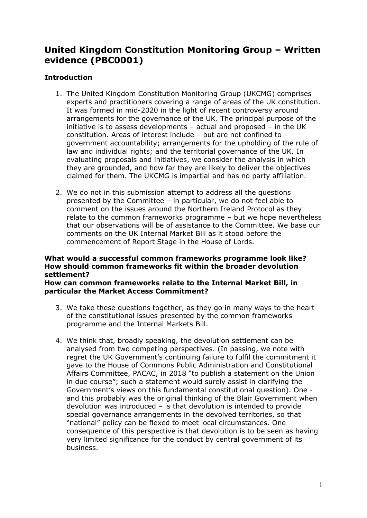# **United Kingdom Constitution Monitoring Group – Written evidence (PBC0001)**

## **Introduction**

- 1. The United Kingdom Constitution Monitoring Group (UKCMG) comprises experts and practitioners covering a range of areas of the UK constitution. It was formed in mid-2020 in the light of recent controversy around arrangements for the governance of the UK. The principal purpose of the initiative is to assess developments – actual and proposed – in the UK constitution. Areas of interest include – but are not confined to – government accountability; arrangements for the upholding of the rule of law and individual rights; and the territorial governance of the UK. In evaluating proposals and initiatives, we consider the analysis in which they are grounded, and how far they are likely to deliver the objectives claimed for them. The UKCMG is impartial and has no party affiliation.
- 2. We do not in this submission attempt to address all the questions presented by the Committee – in particular, we do not feel able to comment on the issues around the Northern Ireland Protocol as they relate to the common frameworks programme – but we hope nevertheless that our observations will be of assistance to the Committee. We base our comments on the UK Internal Market Bill as it stood before the commencement of Report Stage in the House of Lords.

#### **What would a successful common frameworks programme look like? How should common frameworks fit within the broader devolution settlement?**

**How can common frameworks relate to the Internal Market Bill, in particular the Market Access Commitment?**

- 3. We take these questions together, as they go in many ways to the heart of the constitutional issues presented by the common frameworks programme and the Internal Markets Bill.
- 4. We think that, broadly speaking, the devolution settlement can be analysed from two competing perspectives. (In passing, we note with regret the UK Government's continuing failure to fulfil the commitment it gave to the House of Commons Public Administration and Constitutional Affairs Committee, PACAC, in 2018 "to publish a statement on the Union in due course"; such a statement would surely assist in clarifying the Government's views on this fundamental constitutional question). One and this probably was the original thinking of the Blair Government when devolution was introduced – is that devolution is intended to provide special governance arrangements in the devolved territories, so that "national" policy can be flexed to meet local circumstances. One consequence of this perspective is that devolution is to be seen as having very limited significance for the conduct by central government of its business.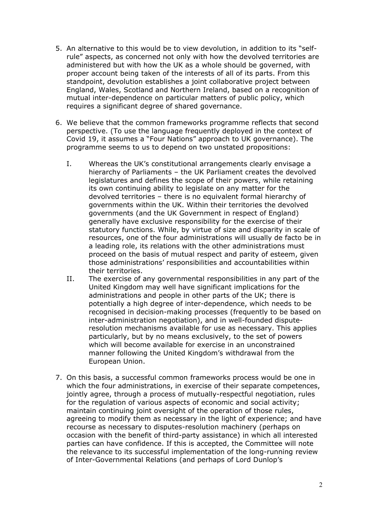- 5. An alternative to this would be to view devolution, in addition to its "selfrule" aspects, as concerned not only with how the devolved territories are administered but with how the UK as a whole should be governed, with proper account being taken of the interests of all of its parts. From this standpoint, devolution establishes a joint collaborative project between England, Wales, Scotland and Northern Ireland, based on a recognition of mutual inter-dependence on particular matters of public policy, which requires a significant degree of shared governance.
- 6. We believe that the common frameworks programme reflects that second perspective. (To use the language frequently deployed in the context of Covid 19, it assumes a "Four Nations" approach to UK governance). The programme seems to us to depend on two unstated propositions:
	- I. Whereas the UK's constitutional arrangements clearly envisage a hierarchy of Parliaments – the UK Parliament creates the devolved legislatures and defines the scope of their powers, while retaining its own continuing ability to legislate on any matter for the devolved territories – there is no equivalent formal hierarchy of governments within the UK. Within their territories the devolved governments (and the UK Government in respect of England) generally have exclusive responsibility for the exercise of their statutory functions. While, by virtue of size and disparity in scale of resources, one of the four administrations will usually de facto be in a leading role, its relations with the other administrations must proceed on the basis of mutual respect and parity of esteem, given those administrations' responsibilities and accountabilities within their territories.
	- II. The exercise of any governmental responsibilities in any part of the United Kingdom may well have significant implications for the administrations and people in other parts of the UK; there is potentially a high degree of inter-dependence, which needs to be recognised in decision-making processes (frequently to be based on inter-administration negotiation), and in well-founded disputeresolution mechanisms available for use as necessary. This applies particularly, but by no means exclusively, to the set of powers which will become available for exercise in an unconstrained manner following the United Kingdom's withdrawal from the European Union.
- 7. On this basis, a successful common frameworks process would be one in which the four administrations, in exercise of their separate competences, jointly agree, through a process of mutually-respectful negotiation, rules for the regulation of various aspects of economic and social activity; maintain continuing joint oversight of the operation of those rules, agreeing to modify them as necessary in the light of experience; and have recourse as necessary to disputes-resolution machinery (perhaps on occasion with the benefit of third-party assistance) in which all interested parties can have confidence. If this is accepted, the Committee will note the relevance to its successful implementation of the long-running review of Inter-Governmental Relations (and perhaps of Lord Dunlop's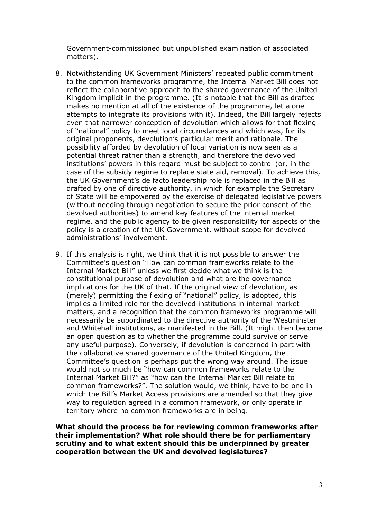Government-commissioned but unpublished examination of associated matters).

- 8. Notwithstanding UK Government Ministers' repeated public commitment to the common frameworks programme, the Internal Market Bill does not reflect the collaborative approach to the shared governance of the United Kingdom implicit in the programme. (It is notable that the Bill as drafted makes no mention at all of the existence of the programme, let alone attempts to integrate its provisions with it). Indeed, the Bill largely rejects even that narrower conception of devolution which allows for that flexing of "national" policy to meet local circumstances and which was, for its original proponents, devolution's particular merit and rationale. The possibility afforded by devolution of local variation is now seen as a potential threat rather than a strength, and therefore the devolved institutions' powers in this regard must be subject to control (or, in the case of the subsidy regime to replace state aid, removal). To achieve this, the UK Government's de facto leadership role is replaced in the Bill as drafted by one of directive authority, in which for example the Secretary of State will be empowered by the exercise of delegated legislative powers (without needing through negotiation to secure the prior consent of the devolved authorities) to amend key features of the internal market regime, and the public agency to be given responsibility for aspects of the policy is a creation of the UK Government, without scope for devolved administrations' involvement.
- 9. If this analysis is right, we think that it is not possible to answer the Committee's question "How can common frameworks relate to the Internal Market Bill" unless we first decide what we think is the constitutional purpose of devolution and what are the governance implications for the UK of that. If the original view of devolution, as (merely) permitting the flexing of "national" policy, is adopted, this implies a limited role for the devolved institutions in internal market matters, and a recognition that the common frameworks programme will necessarily be subordinated to the directive authority of the Westminster and Whitehall institutions, as manifested in the Bill. (It might then become an open question as to whether the programme could survive or serve any useful purpose). Conversely, if devolution is concerned in part with the collaborative shared governance of the United Kingdom, the Committee's question is perhaps put the wrong way around. The issue would not so much be "how can common frameworks relate to the Internal Market Bill?" as "how can the Internal Market Bill relate to common frameworks?". The solution would, we think, have to be one in which the Bill's Market Access provisions are amended so that they give way to regulation agreed in a common framework, or only operate in territory where no common frameworks are in being.

**What should the process be for reviewing common frameworks after their implementation? What role should there be for parliamentary scrutiny and to what extent should this be underpinned by greater cooperation between the UK and devolved legislatures?**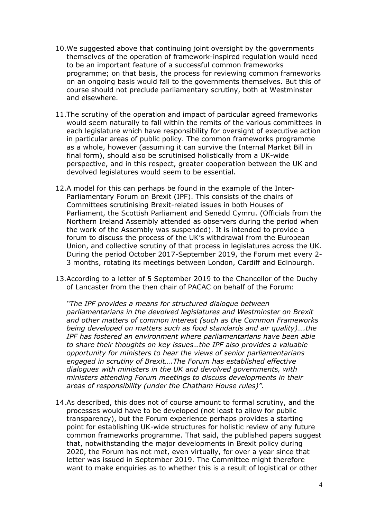- 10.We suggested above that continuing joint oversight by the governments themselves of the operation of framework-inspired regulation would need to be an important feature of a successful common frameworks programme; on that basis, the process for reviewing common frameworks on an ongoing basis would fall to the governments themselves. But this of course should not preclude parliamentary scrutiny, both at Westminster and elsewhere.
- 11.The scrutiny of the operation and impact of particular agreed frameworks would seem naturally to fall within the remits of the various committees in each legislature which have responsibility for oversight of executive action in particular areas of public policy. The common frameworks programme as a whole, however (assuming it can survive the Internal Market Bill in final form), should also be scrutinised holistically from a UK-wide perspective, and in this respect, greater cooperation between the UK and devolved legislatures would seem to be essential.
- 12.A model for this can perhaps be found in the example of the Inter-Parliamentary Forum on Brexit (IPF). This consists of the chairs of Committees scrutinising Brexit-related issues in both Houses of Parliament, the Scottish Parliament and Senedd Cymru. (Officials from the Northern Ireland Assembly attended as observers during the period when the work of the Assembly was suspended). It is intended to provide a forum to discuss the process of the UK's withdrawal from the European Union, and collective scrutiny of that process in legislatures across the UK. During the period October 2017-September 2019, the Forum met every 2- 3 months, rotating its meetings between London, Cardiff and Edinburgh.
- 13.According to a letter of 5 September 2019 to the Chancellor of the Duchy of Lancaster from the then chair of PACAC on behalf of the Forum:

*"The IPF provides a means for structured dialogue between parliamentarians in the devolved legislatures and Westminster on Brexit and other matters of common interest (such as the Common Frameworks being developed on matters such as food standards and air quality)….the IPF has fostered an environment where parliamentarians have been able to share their thoughts on key issues…the IPF also provides a valuable opportunity for ministers to hear the views of senior parliamentarians engaged in scrutiny of Brexit….The Forum has established effective dialogues with ministers in the UK and devolved governments, with ministers attending Forum meetings to discuss developments in their areas of responsibility (under the Chatham House rules)".*

14.As described, this does not of course amount to formal scrutiny, and the processes would have to be developed (not least to allow for public transparency), but the Forum experience perhaps provides a starting point for establishing UK-wide structures for holistic review of any future common frameworks programme. That said, the published papers suggest that, notwithstanding the major developments in Brexit policy during 2020, the Forum has not met, even virtually, for over a year since that letter was issued in September 2019. The Committee might therefore want to make enquiries as to whether this is a result of logistical or other